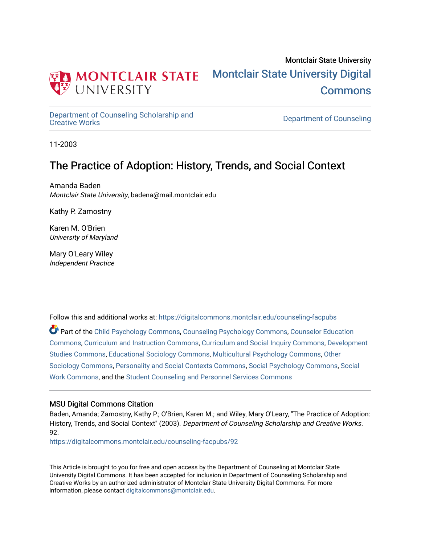

# Montclair State University [Montclair State University Digital](https://digitalcommons.montclair.edu/)  [Commons](https://digitalcommons.montclair.edu/)

[Department of Counseling Scholarship and](https://digitalcommons.montclair.edu/counseling-facpubs)

Department of Counseling

11-2003

# The Practice of Adoption: History, Trends, and Social Context

Amanda Baden Montclair State University, badena@mail.montclair.edu

Kathy P. Zamostny

Karen M. O'Brien University of Maryland

Mary O'Leary Wiley Independent Practice

Follow this and additional works at: [https://digitalcommons.montclair.edu/counseling-facpubs](https://digitalcommons.montclair.edu/counseling-facpubs?utm_source=digitalcommons.montclair.edu%2Fcounseling-facpubs%2F92&utm_medium=PDF&utm_campaign=PDFCoverPages) 

Part of the [Child Psychology Commons,](http://network.bepress.com/hgg/discipline/1023?utm_source=digitalcommons.montclair.edu%2Fcounseling-facpubs%2F92&utm_medium=PDF&utm_campaign=PDFCoverPages) [Counseling Psychology Commons](http://network.bepress.com/hgg/discipline/1044?utm_source=digitalcommons.montclair.edu%2Fcounseling-facpubs%2F92&utm_medium=PDF&utm_campaign=PDFCoverPages), [Counselor Education](http://network.bepress.com/hgg/discipline/1278?utm_source=digitalcommons.montclair.edu%2Fcounseling-facpubs%2F92&utm_medium=PDF&utm_campaign=PDFCoverPages)  [Commons](http://network.bepress.com/hgg/discipline/1278?utm_source=digitalcommons.montclair.edu%2Fcounseling-facpubs%2F92&utm_medium=PDF&utm_campaign=PDFCoverPages), [Curriculum and Instruction Commons](http://network.bepress.com/hgg/discipline/786?utm_source=digitalcommons.montclair.edu%2Fcounseling-facpubs%2F92&utm_medium=PDF&utm_campaign=PDFCoverPages), [Curriculum and Social Inquiry Commons](http://network.bepress.com/hgg/discipline/1038?utm_source=digitalcommons.montclair.edu%2Fcounseling-facpubs%2F92&utm_medium=PDF&utm_campaign=PDFCoverPages), [Development](http://network.bepress.com/hgg/discipline/1422?utm_source=digitalcommons.montclair.edu%2Fcounseling-facpubs%2F92&utm_medium=PDF&utm_campaign=PDFCoverPages)  [Studies Commons,](http://network.bepress.com/hgg/discipline/1422?utm_source=digitalcommons.montclair.edu%2Fcounseling-facpubs%2F92&utm_medium=PDF&utm_campaign=PDFCoverPages) [Educational Sociology Commons](http://network.bepress.com/hgg/discipline/1071?utm_source=digitalcommons.montclair.edu%2Fcounseling-facpubs%2F92&utm_medium=PDF&utm_campaign=PDFCoverPages), [Multicultural Psychology Commons,](http://network.bepress.com/hgg/discipline/1237?utm_source=digitalcommons.montclair.edu%2Fcounseling-facpubs%2F92&utm_medium=PDF&utm_campaign=PDFCoverPages) [Other](http://network.bepress.com/hgg/discipline/434?utm_source=digitalcommons.montclair.edu%2Fcounseling-facpubs%2F92&utm_medium=PDF&utm_campaign=PDFCoverPages)  [Sociology Commons](http://network.bepress.com/hgg/discipline/434?utm_source=digitalcommons.montclair.edu%2Fcounseling-facpubs%2F92&utm_medium=PDF&utm_campaign=PDFCoverPages), [Personality and Social Contexts Commons,](http://network.bepress.com/hgg/discipline/413?utm_source=digitalcommons.montclair.edu%2Fcounseling-facpubs%2F92&utm_medium=PDF&utm_campaign=PDFCoverPages) [Social Psychology Commons](http://network.bepress.com/hgg/discipline/414?utm_source=digitalcommons.montclair.edu%2Fcounseling-facpubs%2F92&utm_medium=PDF&utm_campaign=PDFCoverPages), [Social](http://network.bepress.com/hgg/discipline/713?utm_source=digitalcommons.montclair.edu%2Fcounseling-facpubs%2F92&utm_medium=PDF&utm_campaign=PDFCoverPages)  [Work Commons](http://network.bepress.com/hgg/discipline/713?utm_source=digitalcommons.montclair.edu%2Fcounseling-facpubs%2F92&utm_medium=PDF&utm_campaign=PDFCoverPages), and the [Student Counseling and Personnel Services Commons](http://network.bepress.com/hgg/discipline/802?utm_source=digitalcommons.montclair.edu%2Fcounseling-facpubs%2F92&utm_medium=PDF&utm_campaign=PDFCoverPages) 

## MSU Digital Commons Citation

Baden, Amanda; Zamostny, Kathy P.; O'Brien, Karen M.; and Wiley, Mary O'Leary, "The Practice of Adoption: History, Trends, and Social Context" (2003). Department of Counseling Scholarship and Creative Works. 92.

[https://digitalcommons.montclair.edu/counseling-facpubs/92](https://digitalcommons.montclair.edu/counseling-facpubs/92?utm_source=digitalcommons.montclair.edu%2Fcounseling-facpubs%2F92&utm_medium=PDF&utm_campaign=PDFCoverPages)

This Article is brought to you for free and open access by the Department of Counseling at Montclair State University Digital Commons. It has been accepted for inclusion in Department of Counseling Scholarship and Creative Works by an authorized administrator of Montclair State University Digital Commons. For more information, please contact [digitalcommons@montclair.edu](mailto:digitalcommons@montclair.edu).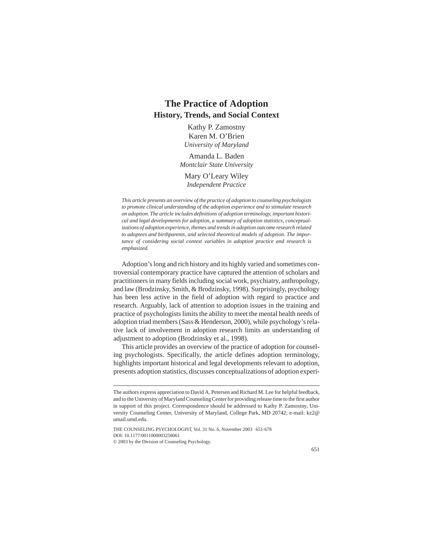# 10.1177/0011000003258061 THE COUNSELING PSYCHOLOGIST / November 2003 Zamostny et al. / PRACTICE OF ADOPTION **ARTICLE The Practice of Adoption History, Trends, and Social Context**

Kathy P. Zamostny Karen M. O'Brien *University of Maryland*

Amanda L. Baden *Montclair State University*

Mary O'Leary Wiley *Independent Practice*

*This article presents an overview of the practice of adoption to counseling psychologists to promote clinical understanding of the adoption experience and to stimulate research on adoption. The article includes definitions of adoption terminology, important historical and legal developments for adoption, a summary of adoption statistics, conceptualizations of adoption experience, themes and trends in adoption outcome research related to adoptees and birthparents, and selected theoretical models of adoption. The importance of considering social context variables in adoption practice and research is emphasized.*

Adoption's long and rich history and its highly varied and sometimes controversial contemporary practice have captured the attention of scholars and practitioners in many fields including social work, psychiatry, anthropology, and law (Brodzinsky, Smith, & Brodzinsky, 1998). Surprisingly, psychology has been less active in the field of adoption with regard to practice and research. Arguably, lack of attention to adoption issues in the training and practice of psychologists limits the ability to meet the mental health needs of adoption triad members (Sass & Henderson, 2000), while psychology's relative lack of involvement in adoption research limits an understanding of adjustment to adoption (Brodzinsky et al., 1998).

This article provides an overview of the practice of adoption for counseling psychologists. Specifically, the article defines adoption terminology, highlights important historical and legal developments relevant to adoption, presents adoption statistics, discusses conceptualizations of adoption experi-

THE COUNSELING PSYCHOLOGIST, Vol. 31 No. 6, November 2003 651-678 DOI: 10.1177/0011000003258061 © 2003 by the Division of Counseling Psychology.

The authors express appreciation to David A. Petersen and Richard M. Lee for helpful feedback, and to the University of Maryland Counseling Center for providing release time to the first author in support of this project. Correspondence should be addressed to Kathy P. Zamostny, University Counseling Center, University of Maryland, College Park, MD 20742; e-mail: kz2@ umail.umd.edu.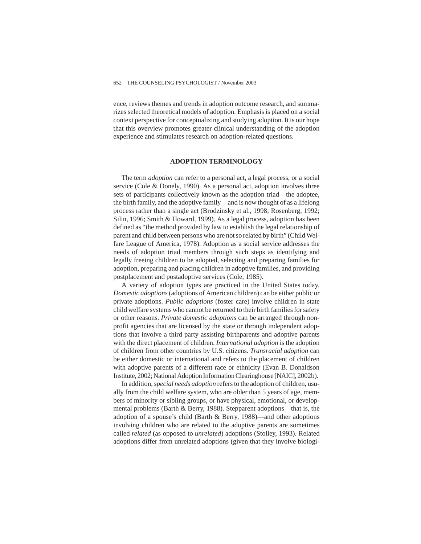ence, reviews themes and trends in adoption outcome research, and summarizes selected theoretical models of adoption. Emphasis is placed on a social context perspective for conceptualizing and studying adoption. It is our hope that this overview promotes greater clinical understanding of the adoption experience and stimulates research on adoption-related questions.

#### **ADOPTION TERMINOLOGY**

The term *adoption* can refer to a personal act, a legal process, or a social service (Cole & Donely, 1990). As a personal act, adoption involves three sets of participants collectively known as the adoption triad—the adoptee, the birth family, and the adoptive family—and is now thought of as a lifelong process rather than a single act (Brodzinsky et al., 1998; Rosenberg, 1992; Silin, 1996; Smith & Howard, 1999). As a legal process, adoption has been defined as "the method provided by law to establish the legal relationship of parent and child between persons who are not so related by birth" (Child Welfare League of America, 1978). Adoption as a social service addresses the needs of adoption triad members through such steps as identifying and legally freeing children to be adopted, selecting and preparing families for adoption, preparing and placing children in adoptive families, and providing postplacement and postadoptive services (Cole, 1985).

A variety of adoption types are practiced in the United States today. *Domestic adoptions*(adoptions of American children) can be either public or private adoptions. *Public adoptions* (foster care) involve children in state child welfare systems who cannot be returned to their birth families for safety or other reasons. *Private domestic adoptions* can be arranged through nonprofit agencies that are licensed by the state or through independent adoptions that involve a third party assisting birthparents and adoptive parents with the direct placement of children. *International adoption* is the adoption of children from other countries by U.S. citizens. *Transracial adoption* can be either domestic or international and refers to the placement of children with adoptive parents of a different race or ethnicity (Evan B. Donaldson Institute, 2002; National Adoption Information Clearinghouse [NAIC], 2002b).

In addition,*special needs adoption* refers to the adoption of children, usually from the child welfare system, who are older than 5 years of age, members of minority or sibling groups, or have physical, emotional, or developmental problems (Barth & Berry, 1988). Stepparent adoptions—that is, the adoption of a spouse's child (Barth & Berry, 1988)—and other adoptions involving children who are related to the adoptive parents are sometimes called *related* (as opposed to *unrelated*) adoptions (Stolley, 1993). Related adoptions differ from unrelated adoptions (given that they involve biologi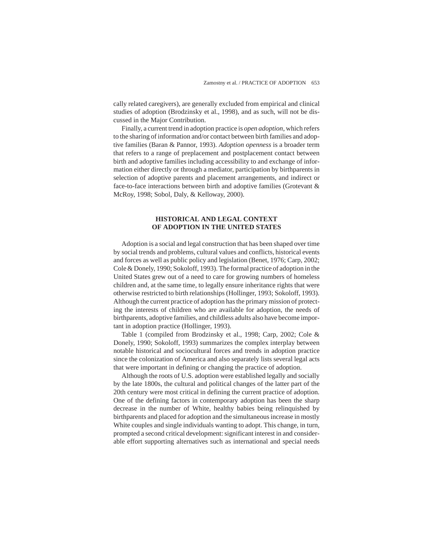cally related caregivers), are generally excluded from empirical and clinical studies of adoption (Brodzinsky et al., 1998), and as such, will not be discussed in the Major Contribution.

Finally, a current trend in adoption practice is *open adoption*, which refers to the sharing of information and/or contact between birth families and adoptive families (Baran & Pannor, 1993). *Adoption openness* is abroader term that refers to a range of preplacement and postplacement contact between birth and adoptive families including accessibility to and exchange of information either directly or through a mediator, participation by birthparents in selection of adoptive parents and placement arrangements, and indirect or face-to-face interactions between birth and adoptive families (Grotevant & McRoy, 1998; Sobol, Daly, & Kelloway, 2000).

### **HISTORICAL AND LEGAL CONTEXT OF ADOPTION IN THE UNITED STATES**

Adoption is a social and legal construction that has been shaped over time by social trends and problems, cultural values and conflicts, historical events and forces as well as public policy and legislation (Benet, 1976; Carp, 2002; Cole & Donely, 1990; Sokoloff, 1993). The formal practice of adoption in the United States grew out of a need to care for growing numbers of homeless children and, at the same time, to legally ensure inheritance rights that were otherwise restricted to birth relationships (Hollinger, 1993; Sokoloff, 1993). Although the current practice of adoption has the primary mission of protecting the interests of children who are available for adoption, the needs of birthparents, adoptive families, and childless adults also have become important in adoption practice (Hollinger, 1993).

Table 1 (compiled from Brodzinsky et al., 1998; Carp, 2002; Cole & Donely, 1990; Sokoloff, 1993) summarizes the complex interplay between notable historical and sociocultural forces and trends in adoption practice since the colonization of America and also separately lists several legal acts that were important in defining or changing the practice of adoption.

Although the roots of U.S. adoption were established legally and socially by the late 1800s, the cultural and political changes of the latter part of the 20th century were most critical in defining the current practice of adoption. One of the defining factors in contemporary adoption has been the sharp decrease in the number of White, healthy babies being relinquished by birthparents and placed for adoption and the simultaneous increase in mostly White couples and single individuals wanting to adopt. This change, in turn, prompted a second critical development: significant interest in and considerable effort supporting alternatives such as international and special needs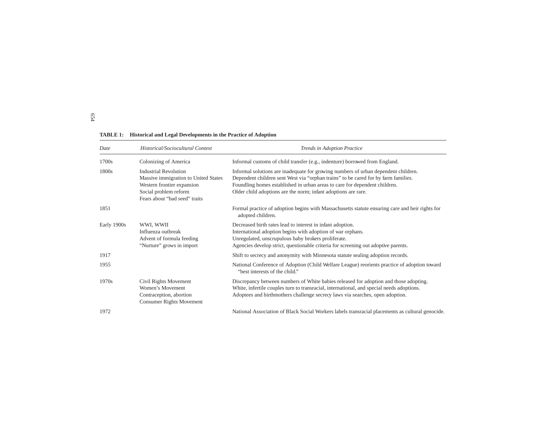#### **TABLE 1: Historical and Legal Developments in the Practice of Adoption**

| Date        | Historical/Sociocultural Context                                                                                                                             | Trends in Adoption Practice                                                                                                                                                                                                                                                                                              |
|-------------|--------------------------------------------------------------------------------------------------------------------------------------------------------------|--------------------------------------------------------------------------------------------------------------------------------------------------------------------------------------------------------------------------------------------------------------------------------------------------------------------------|
| 1700s       | Colonizing of America                                                                                                                                        | Informal customs of child transfer (e.g., indenture) borrowed from England.                                                                                                                                                                                                                                              |
| 1800s       | <b>Industrial Revolution</b><br>Massive immigration to United States<br>Western frontier expansion<br>Social problem reform<br>Fears about "bad seed" traits | Informal solutions are inadequate for growing numbers of urban dependent children.<br>Dependent children sent West via "orphan trains" to be cared for by farm families.<br>Foundling homes established in urban areas to care for dependent children.<br>Older child adoptions are the norm; infant adoptions are rare. |
| 1851        |                                                                                                                                                              | Formal practice of adoption begins with Massachusetts statute ensuring care and heir rights for<br>adopted children.                                                                                                                                                                                                     |
| Early 1900s | WWI, WWII<br>Influenza outbreak<br>Advent of formula feeding<br>"Nurture" grows in import                                                                    | Decreased birth rates lead to interest in infant adoption.<br>International adoption begins with adoption of war orphans.<br>Unregulated, unscrupulous baby brokers proliferate.<br>Agencies develop strict, questionable criteria for screening out adoptive parents.                                                   |
| 1917        |                                                                                                                                                              | Shift to secrecy and anonymity with Minnesota statute sealing adoption records.                                                                                                                                                                                                                                          |
| 1955        |                                                                                                                                                              | National Conference of Adoption (Child Welfare League) reorients practice of adoption toward<br>"best interests of the child."                                                                                                                                                                                           |
| 1970s       | Civil Rights Movement<br>Women's Movement<br>Contraception, abortion<br><b>Consumer Rights Movement</b>                                                      | Discrepancy between numbers of White babies released for adoption and those adopting.<br>White, infertile couples turn to transracial, international, and special needs adoptions.<br>Adoptees and birthmothers challenge secrecy laws via searches, open adoption.                                                      |
| 1972        |                                                                                                                                                              | National Association of Black Social Workers labels transracial placements as cultural genocide.                                                                                                                                                                                                                         |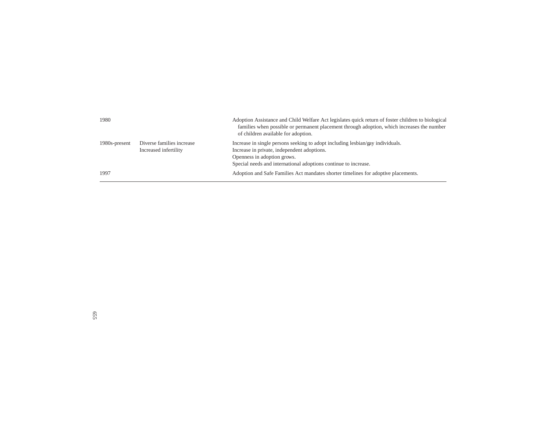| 1980          |                                                    | Adoption Assistance and Child Welfare Act legislates quick return of foster children to biological<br>families when possible or permanent placement through adoption, which increases the number<br>of children available for adoption. |
|---------------|----------------------------------------------------|-----------------------------------------------------------------------------------------------------------------------------------------------------------------------------------------------------------------------------------------|
| 1980s-present | Diverse families increase<br>Increased infertility | Increase in single persons seeking to adopt including lesbian/gay individuals.<br>Increase in private, independent adoptions.<br>Openness in adoption grows.<br>Special needs and international adoptions continue to increase.         |
| 1997          |                                                    | Adoption and Safe Families Act mandates shorter timelines for adoptive placements.                                                                                                                                                      |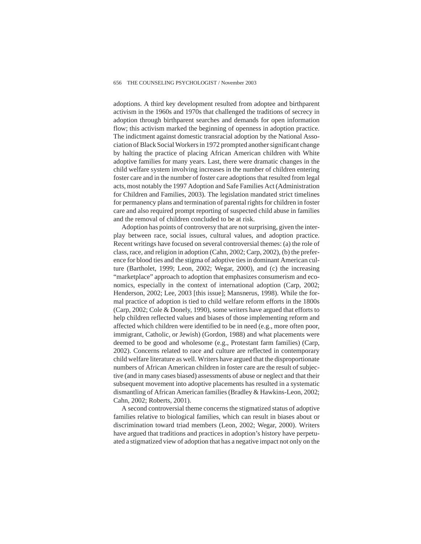adoptions. A third key development resulted from adoptee and birthparent activism in the 1960s and 1970s that challenged the traditions of secrecy in adoption through birthparent searches and demands for open information flow; this activism marked the beginning of openness in adoption practice. The indictment against domestic transracial adoption by the National Association of Black Social Workers in 1972 prompted another significant change by halting the practice of placing African American children with White adoptive families for many years. Last, there were dramatic changes in the child welfare system involving increases in the number of children entering foster care and in the number of foster care adoptions that resulted from legal acts, most notably the 1997 Adoption and Safe Families Act (Administration for Children and Families, 2003). The legislation mandated strict timelines for permanency plans and termination of parental rights for children in foster care and also required prompt reporting of suspected child abuse in families and the removal of children concluded to be at risk.

Adoption has points of controversy that are not surprising, given the interplay between race, social issues, cultural values, and adoption practice. Recent writings have focused on several controversial themes: (a) the role of class, race, and religion in adoption (Cahn, 2002; Carp, 2002), (b) the preference for blood ties and the stigma of adoptive ties in dominant American culture (Bartholet, 1999; Leon, 2002; Wegar, 2000), and (c) the increasing "marketplace" approach to adoption that emphasizes consumerism and economics, especially in the context of international adoption (Carp, 2002; Henderson, 2002; Lee, 2003 [this issue]; Mansnerus, 1998). While the formal practice of adoption is tied to child welfare reform efforts in the 1800s (Carp, 2002; Cole & Donely, 1990), some writers have argued that efforts to help children reflected values and biases of those implementing reform and affected which children were identified to be in need (e.g., more often poor, immigrant, Catholic, or Jewish) (Gordon, 1988) and what placements were deemed to be good and wholesome (e.g., Protestant farm families) (Carp, 2002). Concerns related to race and culture are reflected in contemporary child welfare literature as well. Writers have argued that the disproportionate numbers of African American children in foster care are the result of subjective (and in many cases biased) assessments of abuse or neglect and that their subsequent movement into adoptive placements has resulted in a systematic dismantling of African American families (Bradley & Hawkins-Leon, 2002; Cahn, 2002; Roberts, 2001).

A second controversial theme concerns the stigmatized status of adoptive families relative to biological families, which can result in biases about or discrimination toward triad members (Leon, 2002; Wegar, 2000). Writers have argued that traditions and practices in adoption's history have perpetuated a stigmatized view of adoption that has a negative impact not only on the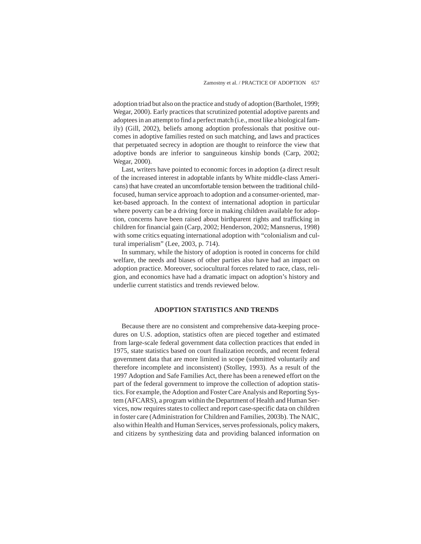adoption triad but also on the practice and study of adoption (Bartholet, 1999; Wegar, 2000). Early practices that scrutinized potential adoptive parents and adoptees in an attempt to find a perfect match (i.e., most like a biological family) (Gill, 2002), beliefs among adoption professionals that positive outcomes in adoptive families rested on such matching, and laws and practices that perpetuated secrecy in adoption are thought to reinforce the view that adoptive bonds are inferior to sanguineous kinship bonds (Carp, 2002; Wegar, 2000).

Last, writers have pointed to economic forces in adoption (a direct result of the increased interest in adoptable infants by White middle-class Americans) that have created an uncomfortable tension between the traditional childfocused, human service approach to adoption and a consumer-oriented, market-based approach. In the context of international adoption in particular where poverty can be a driving force in making children available for adoption, concerns have been raised about birthparent rights and trafficking in children for financial gain (Carp, 2002; Henderson, 2002; Mansnerus, 1998) with some critics equating international adoption with "colonialism and cultural imperialism" (Lee, 2003, p. 714).

In summary, while the history of adoption is rooted in concerns for child welfare, the needs and biases of other parties also have had an impact on adoption practice. Moreover, sociocultural forces related to race, class, religion, and economics have had a dramatic impact on adoption's history and underlie current statistics and trends reviewed below.

#### **ADOPTION STATISTICS AND TRENDS**

Because there are no consistent and comprehensive data-keeping procedures on U.S. adoption, statistics often are pieced together and estimated from large-scale federal government data collection practices that ended in 1975, state statistics based on court finalization records, and recent federal government data that are more limited in scope (submitted voluntarily and therefore incomplete and inconsistent) (Stolley, 1993). As a result of the 1997 Adoption and Safe Families Act, there has been a renewed effort on the part of the federal government to improve the collection of adoption statistics. For example, the Adoption and Foster Care Analysis and Reporting System (AFCARS), a program within the Department of Health and Human Services, now requires states to collect and report case-specific data on children in foster care (Administration for Children and Families, 2003b). The NAIC, also within Health and Human Services, serves professionals, policy makers, and citizens by synthesizing data and providing balanced information on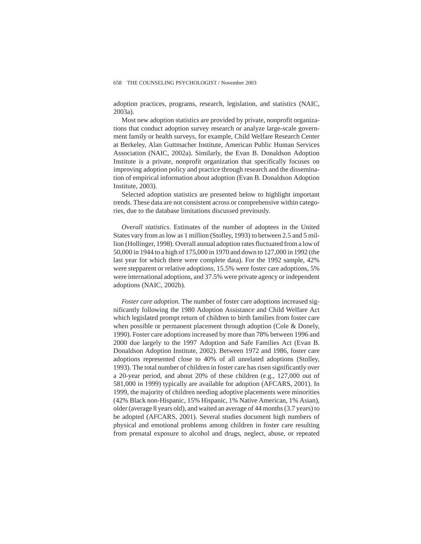adoption practices, programs, research, legislation, and statistics (NAIC, 2003a).

Most new adoption statistics are provided by private, nonprofit organizations that conduct adoption survey research or analyze large-scale government family or health surveys, for example, Child Welfare Research Center at Berkeley, Alan Guttmacher Institute, American Public Human Services Association (NAIC, 2002a). Similarly, the Evan B. Donaldson Adoption Institute is a private, nonprofit organization that specifically focuses on improving adoption policy and practice through research and the dissemination of empirical information about adoption (Evan B. Donaldson Adoption Institute, 2003).

Selected adoption statistics are presented below to highlight important trends. These data are not consistent across or comprehensive within categories, due to the database limitations discussed previously.

*Overall statistics.* Estimates of the number of adoptees in the United States vary from as low as 1 million (Stolley, 1993) to between 2.5 and 5 million (Hollinger, 1998). Overall annual adoption rates fluctuated from a low of 50,000 in 1944 to ahigh of 175,000 in 1970 and down to 127,000 in 1992 (the last year for which there were complete data). For the 1992 sample, 42% were stepparent or relative adoptions, 15.5% were foster care adoptions, 5% were international adoptions, and 37.5% were private agency or independent adoptions (NAIC, 2002b).

*Foster care adoption.* The number of foster care adoptions increased significantly following the 1980 Adoption Assistance and Child Welfare Act which legislated prompt return of children to birth families from foster care when possible or permanent placement through adoption (Cole & Donely, 1990). Foster care adoptions increased by more than 78% between 1996 and 2000 due largely to the 1997 Adoption and Safe Families Act (Evan B. Donaldson Adoption Institute, 2002). Between 1972 and 1986, foster care adoptions represented close to 40% of all unrelated adoptions (Stolley, 1993). The total number of children in foster care has risen significantly over a 20-year period, and about 20% of these children (e.g., 127,000 out of 581,000 in 1999) typically are available for adoption (AFCARS, 2001). In 1999, the majority of children needing adoptive placements were minorities (42% Black non-Hispanic, 15% Hispanic, 1% Native American, 1% Asian), older (average 8 years old), and waited an average of 44 months (3.7 years) to be adopted (AFCARS, 2001). Several studies document high numbers of physical and emotional problems among children in foster care resulting from prenatal exposure to alcohol and drugs, neglect, abuse, or repeated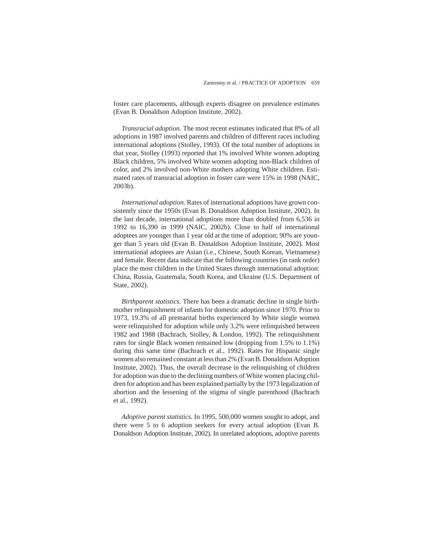foster care placements, although experts disagree on prevalence estimates (Evan B. Donaldson Adoption Institute, 2002).

*Transracial adoption.* The most recent estimates indicated that 8% of all adoptions in 1987 involved parents and children of different races including international adoptions (Stolley, 1993). Of the total number of adoptions in that year, Stolley (1993) reported that 1% involved White women adopting Black children, 5% involved White women adopting non-Black children of color, and 2% involved non-White mothers adopting White children. Estimated rates of transracial adoption in foster care were 15% in 1998 (NAIC, 2003b).

*International adoption.* Rates of international adoptions have grown consistently since the 1950s (Evan B. Donaldson Adoption Institute, 2002). In the last decade, international adoptions more than doubled from 6,536 in 1992 to 16,390 in 1999 (NAIC, 2002b). Close to half of international adoptees are younger than 1 year old at the time of adoption; 90% are younger than 5 years old (Evan B. Donaldson Adoption Institute, 2002). Most international adoptees are Asian (i.e., Chinese, South Korean, Vietnamese) and female. Recent data indicate that the following countries (in rank order) place the most children in the United States through international adoption: China, Russia, Guatemala, South Korea, and Ukraine (U.S. Department of State, 2002).

*Birthparent statistics.* There has been a dramatic decline in single birthmother relinquishment of infants for domestic adoption since 1970. Prior to 1973, 19.3% of all premarital births experienced by White single women were relinquished for adoption while only 3.2% were relinquished between 1982 and 1988 (Bachrach, Stolley, & London, 1992). The relinquishment rates for single Black women remained low (dropping from 1.5% to 1.1%) during this same time (Bachrach et al., 1992). Rates for Hispanic single women also remained constant at less than 2% (Evan B. Donaldson Adoption Institute, 2002). Thus, the overall decrease in the relinquishing of children for adoption was due to the declining numbers of White women placing children for adoption and has been explained partially by the 1973 legalization of abortion and the lessening of the stigma of single parenthood (Bachrach et al., 1992).

*Adoptive parent statistics.* In 1995, 500,000 women sought to adopt, and there were 5 to 6 adoption seekers for every actual adoption (Evan B. Donaldson Adoption Institute, 2002). In unrelated adoptions, adoptive parents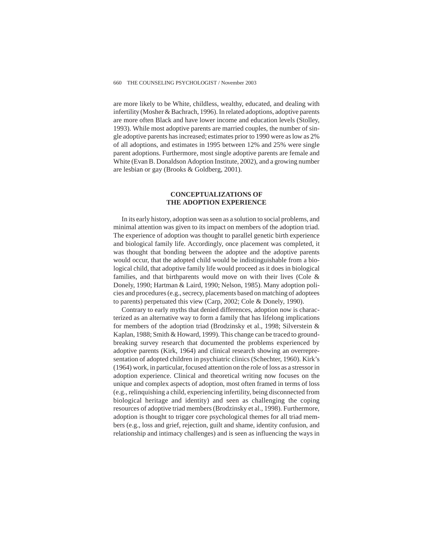are more likely to be White, childless, wealthy, educated, and dealing with infertility (Mosher & Bachrach, 1996). In related adoptions, adoptive parents are more often Black and have lower income and education levels (Stolley, 1993). While most adoptive parents are married couples, the number of single adoptive parents has increased; estimates prior to 1990 were as low as 2% of all adoptions, and estimates in 1995 between 12% and 25% were single parent adoptions. Furthermore, most single adoptive parents are female and White (Evan B. Donaldson Adoption Institute, 2002), and a growing number are lesbian or gay (Brooks & Goldberg, 2001).

### **CONCEPTUALIZATIONS OF THE ADOPTION EXPERIENCE**

In its early history, adoption was seen as a solution to social problems, and minimal attention was given to its impact on members of the adoption triad. The experience of adoption was thought to parallel genetic birth experience and biological family life. Accordingly, once placement was completed, it was thought that bonding between the adoptee and the adoptive parents would occur, that the adopted child would be indistinguishable from a biological child, that adoptive family life would proceed as it does in biological families, and that birthparents would move on with their lives (Cole & Donely, 1990; Hartman & Laird, 1990; Nelson, 1985). Many adoption policies and procedures (e.g., secrecy, placements based on matching of adoptees to parents) perpetuated this view (Carp, 2002; Cole & Donely, 1990).

Contrary to early myths that denied differences, adoption now is characterized as an alternative way to form a family that has lifelong implications for members of the adoption triad (Brodzinsky et al., 1998; Silverstein & Kaplan, 1988; Smith & Howard, 1999). This change can be traced to groundbreaking survey research that documented the problems experienced by adoptive parents (Kirk, 1964) and clinical research showing an overrepresentation of adopted children in psychiatric clinics (Schechter, 1960). Kirk's (1964) work, in particular, focused attention on the role of loss as a stressor in adoption experience. Clinical and theoretical writing now focuses on the unique and complex aspects of adoption, most often framed in terms of loss (e.g., relinquishing achild, experiencing infertility, being disconnected from biological heritage and identity) and seen as challenging the coping resources of adoptive triad members (Brodzinsky et al., 1998). Furthermore, adoption is thought to trigger core psychological themes for all triad members (e.g., loss and grief, rejection, guilt and shame, identity confusion, and relationship and intimacy challenges) and is seen as influencing the ways in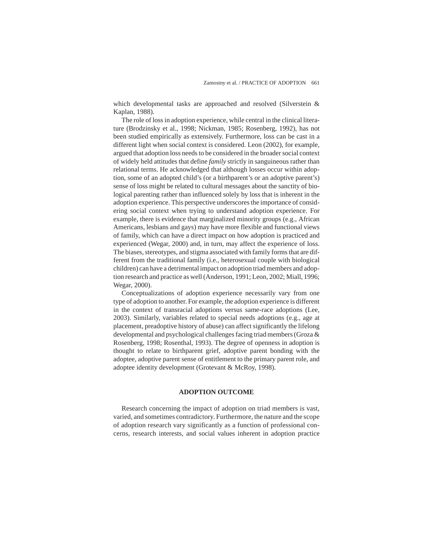which developmental tasks are approached and resolved (Silverstein & Kaplan, 1988).

The role of loss in adoption experience, while central in the clinical literature (Brodzinsky et al., 1998; Nickman, 1985; Rosenberg, 1992), has not been studied empirically as extensively. Furthermore, loss can be cast in a different light when social context is considered. Leon (2002), for example, argued that adoption loss needs to be considered in the broader social context of widely held attitudes that define *family* strictly in sanguineous rather than relational terms. He acknowledged that although losses occur within adoption, some of an adopted child's (or a birthparent's or an adoptive parent's) sense of loss might be related to cultural messages about the sanctity of biological parenting rather than influenced solely by loss that is inherent in the adoption experience. This perspective underscores the importance of considering social context when trying to understand adoption experience. For example, there is evidence that marginalized minority groups (e.g., African Americans, lesbians and gays) may have more flexible and functional views of family, which can have a direct impact on how adoption is practiced and experienced (Wegar, 2000) and, in turn, may affect the experience of loss. The biases, stereotypes, and stigma associated with family forms that are different from the traditional family (i.e., heterosexual couple with biological children) can have a detrimental impact on adoption triad members and adoption research and practice as well (Anderson, 1991; Leon, 2002; Miall, 1996; Wegar, 2000).

Conceptualizations of adoption experience necessarily vary from one type of adoption to another. For example, the adoption experience is different in the context of transracial adoptions versus same-race adoptions (Lee, 2003). Similarly, variables related to special needs adoptions (e.g., age at placement, preadoptive history of abuse) can affect significantly the lifelong developmental and psychological challenges facing triad members (Groza & Rosenberg, 1998; Rosenthal, 1993). The degree of openness in adoption is thought to relate to birthparent grief, adoptive parent bonding with the adoptee, adoptive parent sense of entitlement to the primary parent role, and adoptee identity development (Grotevant & McRoy, 1998).

#### **ADOPTION OUTCOME**

Research concerning the impact of adoption on triad members is vast, varied, and sometimes contradictory. Furthermore, the nature and the scope of adoption research vary significantly as a function of professional concerns, research interests, and social values inherent in adoption practice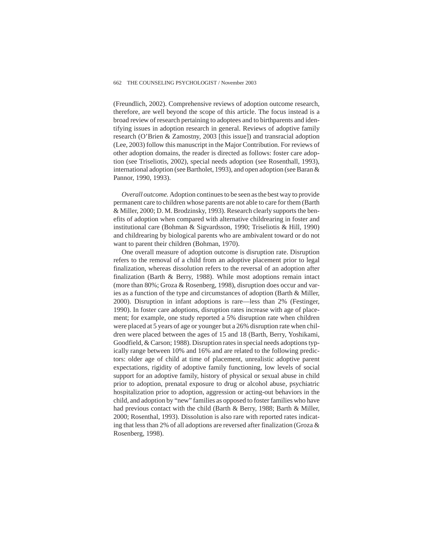(Freundlich, 2002). Comprehensive reviews of adoption outcome research, therefore, are well beyond the scope of this article. The focus instead is a broad review of research pertaining to adoptees and to birthparents and identifying issues in adoption research in general. Reviews of adoptive family research (O'Brien & Zamostny, 2003 [this issue]) and transracial adoption (Lee, 2003) follow this manuscript in the Major Contribution. For reviews of other adoption domains, the reader is directed as follows: foster care adoption (see Triseliotis, 2002), special needs adoption (see Rosenthall, 1993), international adoption (see Bartholet, 1993), and open adoption (see Baran & Pannor, 1990, 1993).

*Overall outcome.* Adoption continues to be seen as the best way to provide permanent care to children whose parents are not able to care for them (Barth & Miller, 2000; D. M. Brodzinsky, 1993). Research clearly supports the benefits of adoption when compared with alternative childrearing in foster and institutional care (Bohman & Sigvardsson, 1990; Triseliotis & Hill, 1990) and childrearing by biological parents who are ambivalent toward or do not want to parent their children (Bohman, 1970).

One overall measure of adoption outcome is disruption rate. Disruption refers to the removal of a child from an adoptive placement prior to legal finalization, whereas dissolution refers to the reversal of an adoption after finalization (Barth & Berry, 1988). While most adoptions remain intact (more than 80%; Groza & Rosenberg, 1998), disruption does occur and varies as a function of the type and circumstances of adoption (Barth & Miller, 2000). Disruption in infant adoptions is rare—less than 2% (Festinger, 1990). In foster care adoptions, disruption rates increase with age of placement; for example, one study reported a 5% disruption rate when children were placed at 5 years of age or younger but a 26% disruption rate when children were placed between the ages of 15 and 18 (Barth, Berry, Yoshikami, Goodfield, & Carson; 1988). Disruption rates in special needs adoptions typically range between 10% and 16% and are related to the following predictors: older age of child at time of placement, unrealistic adoptive parent expectations, rigidity of adoptive family functioning, low levels of social support for an adoptive family, history of physical or sexual abuse in child prior to adoption, prenatal exposure to drug or alcohol abuse, psychiatric hospitalization prior to adoption, aggression or acting-out behaviors in the child, and adoption by "new" families as opposed to foster families who have had previous contact with the child (Barth & Berry, 1988; Barth & Miller, 2000; Rosenthal, 1993). Dissolution is also rare with reported rates indicating that less than 2% of all adoptions are reversed after finalization (Groza  $\&$ Rosenberg, 1998).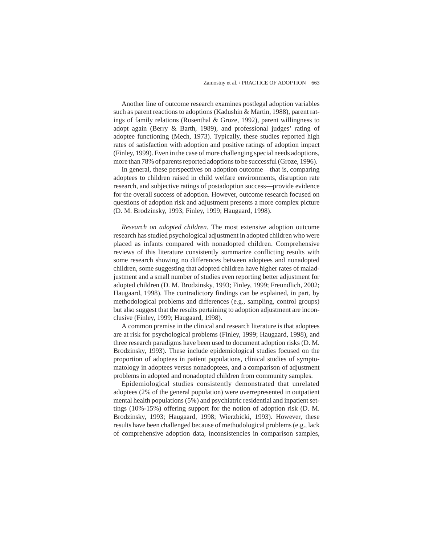Another line of outcome research examines postlegal adoption variables such as parent reactions to adoptions (Kadushin & Martin, 1988), parent ratings of family relations (Rosenthal & Groze, 1992), parent willingness to adopt again (Berry & Barth, 1989), and professional judges' rating of adoptee functioning (Mech, 1973). Typically, these studies reported high rates of satisfaction with adoption and positive ratings of adoption impact (Finley, 1999). Even in the case of more challenging special needs adoptions, more than 78% of parents reported adoptions to be successful (Groze, 1996).

In general, these perspectives on adoption outcome—that is, comparing adoptees to children raised in child welfare environments, disruption rate research, and subjective ratings of postadoption success—provide evidence for the overall success of adoption. However, outcome research focused on questions of adoption risk and adjustment presents a more complex picture (D. M. Brodzinsky, 1993; Finley, 1999; Haugaard, 1998).

*Research on adopted children.* The most extensive adoption outcome research has studied psychological adjustment in adopted children who were placed as infants compared with nonadopted children. Comprehensive reviews of this literature consistently summarize conflicting results with some research showing no differences between adoptees and nonadopted children, some suggesting that adopted children have higher rates of maladjustment and a small number of studies even reporting better adjustment for adopted children (D. M. Brodzinsky, 1993; Finley, 1999; Freundlich, 2002; Haugaard, 1998). The contradictory findings can be explained, in part, by methodological problems and differences (e.g., sampling, control groups) but also suggest that the results pertaining to adoption adjustment are inconclusive (Finley, 1999; Haugaard, 1998).

A common premise in the clinical and research literature is that adoptees are at risk for psychological problems (Finley, 1999; Haugaard, 1998), and three research paradigms have been used to document adoption risks (D. M. Brodzinsky, 1993). These include epidemiological studies focused on the proportion of adoptees in patient populations, clinical studies of symptomatology in adoptees versus nonadoptees, and a comparison of adjustment problems in adopted and nonadopted children from community samples.

Epidemiological studies consistently demonstrated that unrelated adoptees (2% of the general population) were overrepresented in outpatient mental health populations (5%) and psychiatric residential and inpatient settings (10%-15%) offering support for the notion of adoption risk (D. M. Brodzinsky, 1993; Haugaard, 1998; Wierzbicki, 1993). However, these results have been challenged because of methodological problems (e.g., lack of comprehensive adoption data, inconsistencies in comparison samples,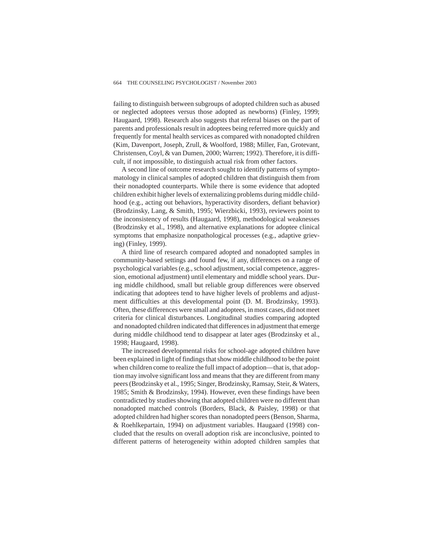failing to distinguish between subgroups of adopted children such as abused or neglected adoptees versus those adopted as newborns) (Finley, 1999; Haugaard, 1998). Research also suggests that referral biases on the part of parents and professionals result in adoptees being referred more quickly and frequently for mental health services as compared with nonadopted children (Kim, Davenport, Joseph, Zrull, & Woolford, 1988; Miller, Fan, Grotevant, Christensen, Coyl, & van Dumen, 2000; Warren; 1992). Therefore, it is difficult, if not impossible, to distinguish actual risk from other factors.

A second line of outcome research sought to identify patterns of symptomatology in clinical samples of adopted children that distinguish them from their nonadopted counterparts. While there is some evidence that adopted children exhibit higher levels of externalizing problems during middle childhood (e.g., acting out behaviors, hyperactivity disorders, defiant behavior) (Brodzinsky, Lang, & Smith, 1995; Wierzbicki, 1993), reviewers point to the inconsistency of results (Haugaard, 1998), methodological weaknesses (Brodzinsky et al., 1998), and alternative explanations for adoptee clinical symptoms that emphasize nonpathological processes (e.g., adaptive grieving) (Finley, 1999).

A third line of research compared adopted and nonadopted samples in community-based settings and found few, if any, differences on a range of psychological variables (e.g., school adjustment, social competence, aggression, emotional adjustment) until elementary and middle school years. During middle childhood, small but reliable group differences were observed indicating that adoptees tend to have higher levels of problems and adjustment difficulties at this developmental point (D. M. Brodzinsky, 1993). Often, these differences were small and adoptees, in most cases, did not meet criteria for clinical disturbances. Longitudinal studies comparing adopted and nonadopted children indicated that differences in adjustment that emerge during middle childhood tend to disappear at later ages (Brodzinsky et al., 1998; Haugaard, 1998).

The increased developmental risks for school-age adopted children have been explained in light of findings that show middle childhood to be the point when children come to realize the full impact of adoption—that is, that adoption may involve significant loss and means that they are different from many peers (Brodzinsky et al., 1995; Singer, Brodzinsky, Ramsay, Steir, & Waters, 1985; Smith & Brodzinsky, 1994). However, even these findings have been contradicted by studies showing that adopted children were no different than nonadopted matched controls (Borders, Black, & Paisley, 1998) or that adopted children had higher scores than nonadopted peers (Benson, Sharma, & Roehlkepartain, 1994) on adjustment variables. Haugaard (1998) concluded that the results on overall adoption risk are inconclusive, pointed to different patterns of heterogeneity within adopted children samples that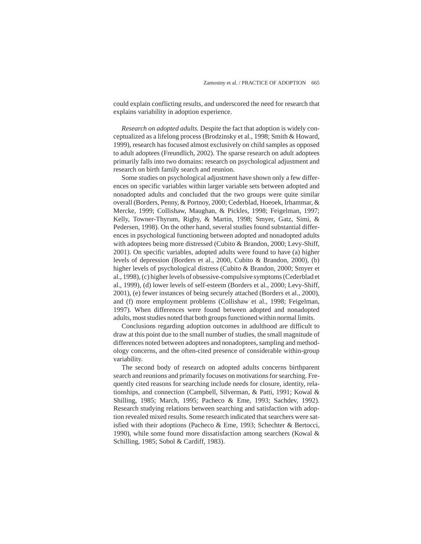could explain conflicting results, and underscored the need for research that explains variability in adoption experience.

*Research on adopted adults.* Despite the fact that adoption is widely conceptualized as a lifelong process (Brodzinsky et al., 1998; Smith & Howard, 1999), research has focused almost exclusively on child samples as opposed to adult adoptees (Freundlich, 2002). The sparse research on adult adoptees primarily falls into two domains: research on psychological adjustment and research on birth family search and reunion.

Some studies on psychological adjustment have shown only a few differences on specific variables within larger variable sets between adopted and nonadopted adults and concluded that the two groups were quite similar overall (Borders, Penny, & Portnoy, 2000; Cederblad, Hoeoek, Irhammar, & Mercke, 1999; Collishaw, Maughan, & Pickles, 1998; Feigelman, 1997; Kelly, Towner-Thyrum, Rigby, & Martin, 1998; Smyer, Gatz, Simi, & Pedersen, 1998). On the other hand, several studies found substantial differences in psychological functioning between adopted and nonadopted adults with adoptees being more distressed (Cubito & Brandon, 2000; Levy-Shiff, 2001). On specific variables, adopted adults were found to have (a) higher levels of depression (Borders et al., 2000, Cubito & Brandon, 2000), (b) higher levels of psychological distress (Cubito & Brandon, 2000; Smyer et al., 1998), (c) higher levels of obsessive-compulsive symptoms (Cederblad et al., 1999), (d) lower levels of self-esteem (Borders et al., 2000; Levy-Shiff, 2001), (e) fewer instances of being securely attached (Borders et al., 2000), and (f) more employment problems (Collishaw et al., 1998; Feigelman, 1997). When differences were found between adopted and nonadopted adults, most studies noted that both groups functioned within normal limits.

Conclusions regarding adoption outcomes in adulthood are difficult to draw at this point due to the small number of studies, the small magnitude of differences noted between adoptees and nonadoptees, sampling and methodology concerns, and the often-cited presence of considerable within-group variability.

The second body of research on adopted adults concerns birthparent search and reunions and primarily focuses on motivations for searching. Frequently cited reasons for searching include needs for closure, identity, relationships, and connection (Campbell, Silverman, & Patti, 1991; Kowal & Shilling, 1985; March, 1995; Pacheco & Eme, 1993; Sachdev, 1992). Research studying relations between searching and satisfaction with adoption revealed mixed results. Some research indicated that searchers were satisfied with their adoptions (Pacheco & Eme, 1993; Schechter & Bertocci, 1990), while some found more dissatisfaction among searchers (Kowal & Schilling, 1985; Sobol & Cardiff, 1983).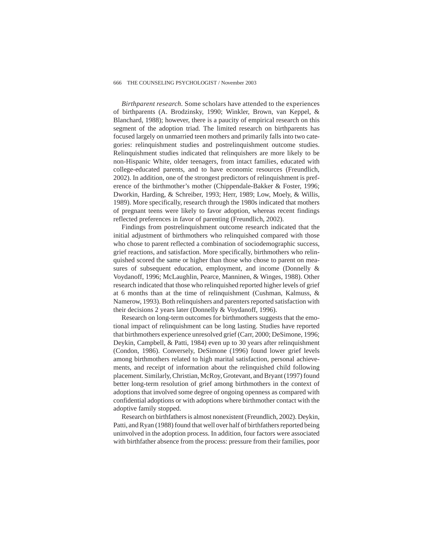#### 666 THE COUNSELING PSYCHOLOGIST / November 2003

*Birthparent research.* Some scholars have attended to the experiences of birthparents (A. Brodzinsky, 1990; Winkler, Brown, van Keppel, & Blanchard, 1988); however, there is a paucity of empirical research on this segment of the adoption triad. The limited research on birthparents has focused largely on unmarried teen mothers and primarily falls into two categories: relinquishment studies and postrelinquishment outcome studies. Relinquishment studies indicated that relinquishers are more likely to be non-Hispanic White, older teenagers, from intact families, educated with college-educated parents, and to have economic resources (Freundlich, 2002). In addition, one of the strongest predictors of relinquishment is preference of the birthmother's mother (Chippendale-Bakker & Foster, 1996; Dworkin, Harding, & Schreiber, 1993; Herr, 1989; Low, Moely, & Willis, 1989). More specifically, research through the 1980s indicated that mothers of pregnant teens were likely to favor adoption, whereas recent findings reflected preferences in favor of parenting (Freundlich, 2002).

Findings from postrelinquishment outcome research indicated that the initial adjustment of birthmothers who relinquished compared with those who chose to parent reflected a combination of sociodemographic success, grief reactions, and satisfaction. More specifically, birthmothers who relinquished scored the same or higher than those who chose to parent on measures of subsequent education, employment, and income (Donnelly & Voydanoff, 1996; McLaughlin, Pearce, Manninen, & Winges, 1988). Other research indicated that those who relinquished reported higher levels of grief at 6 months than at the time of relinquishment (Cushman, Kalmuss, & Namerow, 1993). Both relinquishers and parenters reported satisfaction with their decisions 2 years later (Donnelly & Voydanoff, 1996).

Research on long-term outcomes for birthmothers suggests that the emotional impact of relinquishment can be long lasting. Studies have reported that birthmothers experience unresolved grief (Carr, 2000; DeSimone, 1996; Deykin, Campbell, & Patti, 1984) even up to 30 years after relinquishment (Condon, 1986). Conversely, DeSimone (1996) found lower grief levels among birthmothers related to high marital satisfaction, personal achievements, and receipt of information about the relinquished child following placement. Similarly, Christian, McRoy, Grotevant, and Bryant (1997) found better long-term resolution of grief among birthmothers in the context of adoptions that involved some degree of ongoing openness as compared with confidential adoptions or with adoptions where birthmother contact with the adoptive family stopped.

Research on birthfathers is almost nonexistent (Freundlich, 2002). Deykin, Patti, and Ryan (1988) found that well over half of birthfathers reported being uninvolved in the adoption process. In addition, four factors were associated with birthfather absence from the process: pressure from their families, poor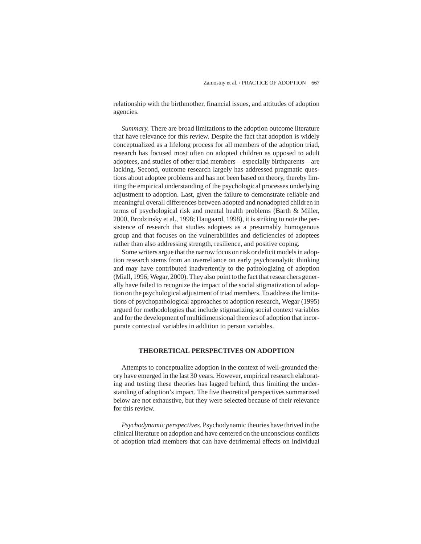relationship with the birthmother, financial issues, and attitudes of adoption agencies.

*Summary.* There are broad limitations to the adoption outcome literature that have relevance for this review. Despite the fact that adoption is widely conceptualized as a lifelong process for all members of the adoption triad, research has focused most often on adopted children as opposed to adult adoptees, and studies of other triad members—especially birthparents—are lacking. Second, outcome research largely has addressed pragmatic questions about adoptee problems and has not been based on theory, thereby limiting the empirical understanding of the psychological processes underlying adjustment to adoption. Last, given the failure to demonstrate reliable and meaningful overall differences between adopted and nonadopted children in terms of psychological risk and mental health problems (Barth & Miller, 2000, Brodzinsky et al., 1998; Haugaard, 1998), it is striking to note the persistence of research that studies adoptees as a presumably homogenous group and that focuses on the vulnerabilities and deficiencies of adoptees rather than also addressing strength, resilience, and positive coping.

Some writers argue that the narrow focus on risk or deficit models in adoption research stems from an overreliance on early psychoanalytic thinking and may have contributed inadvertently to the pathologizing of adoption (Miall, 1996; Wegar, 2000). They also point to the fact that researchers generally have failed to recognize the impact of the social stigmatization of adoption on the psychological adjustment of triad members. To address the limitations of psychopathological approaches to adoption research, Wegar (1995) argued for methodologies that include stigmatizing social context variables and for the development of multidimensional theories of adoption that incorporate contextual variables in addition to person variables.

#### **THEORETICAL PERSPECTIVES ON ADOPTION**

Attempts to conceptualize adoption in the context of well-grounded theory have emerged in the last 30 years. However, empirical research elaborating and testing these theories has lagged behind, thus limiting the understanding of adoption's impact. The five theoretical perspectives summarized below are not exhaustive, but they were selected because of their relevance for this review.

*Psychodynamic perspectives.* Psychodynamic theories have thrived in the clinical literature on adoption and have centered on the unconscious conflicts of adoption triad members that can have detrimental effects on individual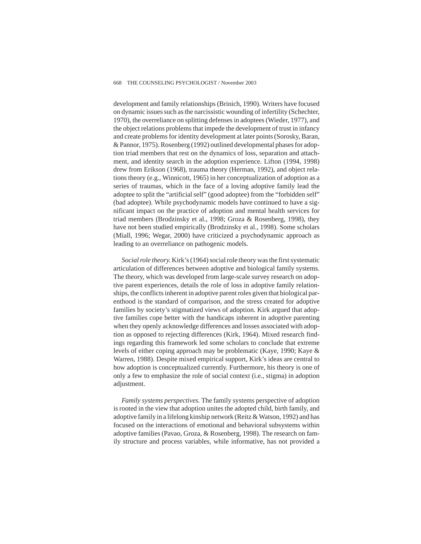development and family relationships (Brinich, 1990). Writers have focused on dynamic issues such as the narcissistic wounding of infertility (Schechter, 1970), the overreliance on splitting defenses in adoptees (Wieder, 1977), and the object relations problems that impede the development of trust in infancy and create problems for identity development at later points (Sorosky, Baran, & Pannor, 1975). Rosenberg (1992) outlined developmental phases for adoption triad members that rest on the dynamics of loss, separation and attachment, and identity search in the adoption experience. Lifton (1994, 1998) drew from Erikson (1968), trauma theory (Herman, 1992), and object relations theory (e.g., Winnicott, 1965) in her conceptualization of adoption as a series of traumas, which in the face of a loving adoptive family lead the adoptee to split the "artificial self" (good adoptee) from the "forbidden self" (bad adoptee). While psychodynamic models have continued to have a significant impact on the practice of adoption and mental health services for triad members (Brodzinsky et al., 1998; Groza & Rosenberg, 1998), they have not been studied empirically (Brodzinsky et al., 1998). Some scholars (Miall, 1996; Wegar, 2000) have criticized a psychodynamic approach as leading to an overreliance on pathogenic models.

*Social role theory.* Kirk's (1964) social role theory was the first systematic articulation of differences between adoptive and biological family systems. The theory, which was developed from large-scale survey research on adoptive parent experiences, details the role of loss in adoptive family relationships, the conflicts inherent in adoptive parent roles given that biological parenthood is the standard of comparison, and the stress created for adoptive families by society's stigmatized views of adoption. Kirk argued that adoptive families cope better with the handicaps inherent in adoptive parenting when they openly acknowledge differences and losses associated with adoption as opposed to rejecting differences (Kirk, 1964). Mixed research findings regarding this framework led some scholars to conclude that extreme levels of either coping approach may be problematic (Kaye, 1990; Kaye & Warren, 1988). Despite mixed empirical support, Kirk's ideas are central to how adoption is conceptualized currently. Furthermore, his theory is one of only a few to emphasize the role of social context (i.e., stigma) in adoption adjustment.

*Family systems perspectives.* The family systems perspective of adoption is rooted in the view that adoption unites the adopted child, birth family, and adoptive family in a lifelong kinship network (Reitz & Watson, 1992) and has focused on the interactions of emotional and behavioral subsystems within adoptive families (Pavao, Groza, & Rosenberg, 1998). The research on family structure and process variables, while informative, has not provided a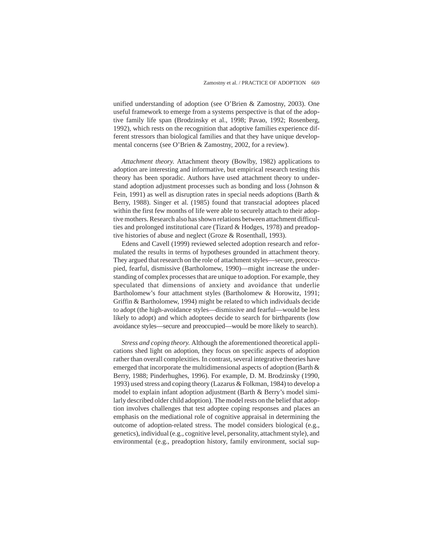unified understanding of adoption (see O'Brien & Zamostny, 2003). One useful framework to emerge from a systems perspective is that of the adoptive family life span (Brodzinsky et al., 1998; Pavao, 1992; Rosenberg, 1992), which rests on the recognition that adoptive families experience different stressors than biological families and that they have unique developmental concerns (see O'Brien & Zamostny, 2002, for a review).

*Attachment theory.* Attachment theory (Bowlby, 1982) applications to adoption are interesting and informative, but empirical research testing this theory has been sporadic. Authors have used attachment theory to understand adoption adjustment processes such as bonding and loss (Johnson & Fein, 1991) as well as disruption rates in special needs adoptions (Barth & Berry, 1988). Singer et al. (1985) found that transracial adoptees placed within the first few months of life were able to securely attach to their adoptive mothers. Research also has shown relations between attachment difficulties and prolonged institutional care (Tizard & Hodges, 1978) and preadoptive histories of abuse and neglect (Groze & Rosenthall, 1993).

Edens and Cavell (1999) reviewed selected adoption research and reformulated the results in terms of hypotheses grounded in attachment theory. They argued that research on the role of attachment styles—secure, preoccupied, fearful, dismissive (Bartholomew, 1990)—might increase the understanding of complex processes that are unique to adoption. For example, they speculated that dimensions of anxiety and avoidance that underlie Bartholomew's four attachment styles (Bartholomew & Horowitz, 1991; Griffin & Bartholomew, 1994) might be related to which individuals decide to adopt (the high-avoidance styles—dismissive and fearful—would be less likely to adopt) and which adoptees decide to search for birthparents (low avoidance styles—secure and preoccupied—would be more likely to search).

*Stress and coping theory.* Although the aforementioned theoretical applications shed light on adoption, they focus on specific aspects of adoption rather than overall complexities. In contrast, several integrative theories have emerged that incorporate the multidimensional aspects of adoption (Barth & Berry, 1988; Pinderhughes, 1996). For example, D. M. Brodzinsky (1990, 1993) used stress and coping theory (Lazarus & Folkman, 1984) to develop a model to explain infant adoption adjustment (Barth & Berry's model similarly described older child adoption). The model rests on the belief that adoption involves challenges that test adoptee coping responses and places an emphasis on the mediational role of cognitive appraisal in determining the outcome of adoption-related stress. The model considers biological (e.g., genetics), individual (e.g., cognitive level, personality, attachment style), and environmental (e.g., preadoption history, family environment, social sup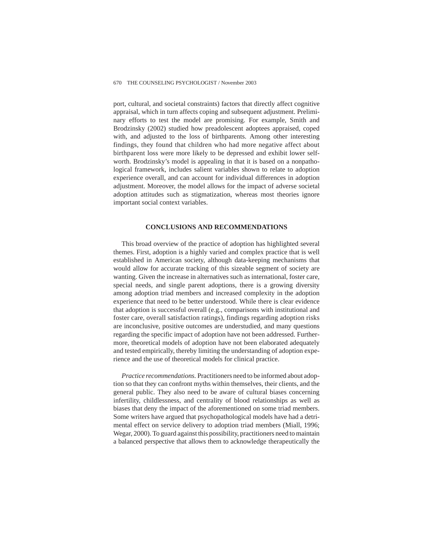port, cultural, and societal constraints) factors that directly affect cognitive appraisal, which in turn affects coping and subsequent adjustment. Preliminary efforts to test the model are promising. For example, Smith and Brodzinsky (2002) studied how preadolescent adoptees appraised, coped with, and adjusted to the loss of birthparents. Among other interesting findings, they found that children who had more negative affect about birthparent loss were more likely to be depressed and exhibit lower selfworth. Brodzinsky's model is appealing in that it is based on a nonpathological framework, includes salient variables shown to relate to adoption experience overall, and can account for individual differences in adoption adjustment. Moreover, the model allows for the impact of adverse societal adoption attitudes such as stigmatization, whereas most theories ignore important social context variables.

#### **CONCLUSIONS AND RECOMMENDATIONS**

This broad overview of the practice of adoption has highlighted several themes. First, adoption is a highly varied and complex practice that is well established in American society, although data-keeping mechanisms that would allow for accurate tracking of this sizeable segment of society are wanting. Given the increase in alternatives such as international, foster care, special needs, and single parent adoptions, there is a growing diversity among adoption triad members and increased complexity in the adoption experience that need to be better understood. While there is clear evidence that adoption is successful overall (e.g., comparisons with institutional and foster care, overall satisfaction ratings), findings regarding adoption risks are inconclusive, positive outcomes are understudied, and many questions regarding the specific impact of adoption have not been addressed. Furthermore, theoretical models of adoption have not been elaborated adequately and tested empirically, thereby limiting the understanding of adoption experience and the use of theoretical models for clinical practice.

*Practice recommendations.* Practitioners need to be informed about adoption so that they can confront myths within themselves, their clients, and the general public. They also need to be aware of cultural biases concerning infertility, childlessness, and centrality of blood relationships as well as biases that deny the impact of the aforementioned on some triad members. Some writers have argued that psychopathological models have had a detrimental effect on service delivery to adoption triad members (Miall, 1996; Wegar, 2000). To guard against this possibility, practitioners need to maintain a balanced perspective that allows them to acknowledge therapeutically the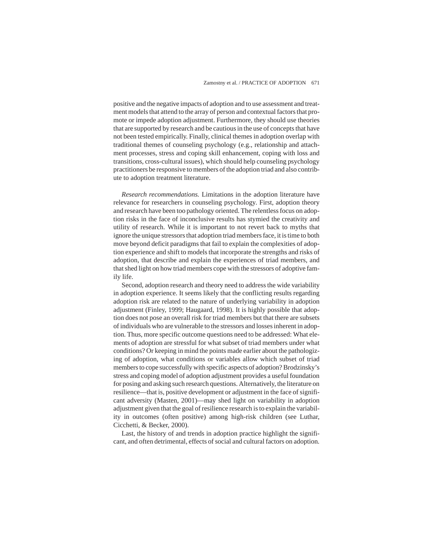positive and the negative impacts of adoption and to use assessment and treatment models that attend to the array of person and contextual factors that promote or impede adoption adjustment. Furthermore, they should use theories that are supported by research and be cautious in the use of concepts that have not been tested empirically. Finally, clinical themes in adoption overlap with traditional themes of counseling psychology (e.g., relationship and attachment processes, stress and coping skill enhancement, coping with loss and transitions, cross-cultural issues), which should help counseling psychology practitioners be responsive to members of the adoption triad and also contribute to adoption treatment literature.

*Research recommendations.* Limitations in the adoption literature have relevance for researchers in counseling psychology. First, adoption theory and research have been too pathology oriented. The relentless focus on adoption risks in the face of inconclusive results has stymied the creativity and utility of research. While it is important to not revert back to myths that ignore the unique stressors that adoption triad members face, it is time to both move beyond deficit paradigms that fail to explain the complexities of adoption experience and shift to models that incorporate the strengths and risks of adoption, that describe and explain the experiences of triad members, and that shed light on how triad members cope with the stressors of adoptive family life.

Second, adoption research and theory need to address the wide variability in adoption experience. It seems likely that the conflicting results regarding adoption risk are related to the nature of underlying variability in adoption adjustment (Finley, 1999; Haugaard, 1998). It is highly possible that adoption does not pose an overall risk for triad members but that there are subsets of individuals who are vulnerable to the stressors and losses inherent in adoption. Thus, more specific outcome questions need to be addressed: What elements of adoption are stressful for what subset of triad members under what conditions? Or keeping in mind the points made earlier about the pathologizing of adoption, what conditions or variables allow which subset of triad members to cope successfully with specific aspects of adoption? Brodzinsky's stress and coping model of adoption adjustment provides a useful foundation for posing and asking such research questions. Alternatively, the literature on resilience—that is, positive development or adjustment in the face of significant adversity (Masten, 2001)—may shed light on variability in adoption adjustment given that the goal of resilience research is to explain the variability in outcomes (often positive) among high-risk children (see Luthar, Cicchetti, & Becker, 2000).

Last, the history of and trends in adoption practice highlight the significant, and often detrimental, effects of social and cultural factors on adoption.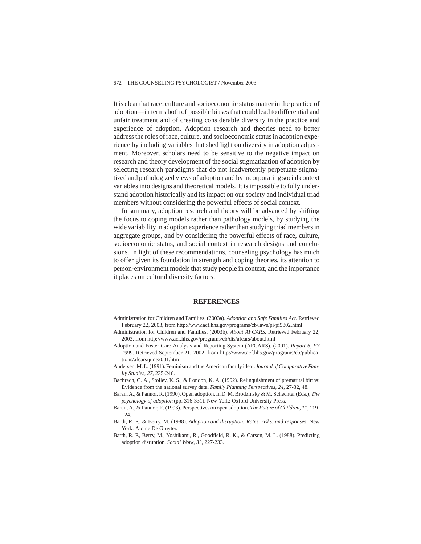It is clear that race, culture and socioeconomic status matter in the practice of adoption—in terms both of possible biases that could lead to differential and unfair treatment and of creating considerable diversity in the practice and experience of adoption. Adoption research and theories need to better address the roles of race, culture, and socioeconomic status in adoption experience by including variables that shed light on diversity in adoption adjustment. Moreover, scholars need to be sensitive to the negative impact on research and theory development of the social stigmatization of adoption by selecting research paradigms that do not inadvertently perpetuate stigmatized and pathologized views of adoption and by incorporating social context variables into designs and theoretical models. It is impossible to fully understand adoption historically and its impact on our society and individual triad members without considering the powerful effects of social context.

In summary, adoption research and theory will be advanced by shifting the focus to coping models rather than pathology models, by studying the wide variability in adoption experience rather than studying triad members in aggregate groups, and by considering the powerful effects of race, culture, socioeconomic status, and social context in research designs and conclusions. In light of these recommendations, counseling psychology has much to offer given its foundation in strength and coping theories, its attention to person-environment models that study people in context, and the importance it places on cultural diversity factors.

#### **REFERENCES**

- Administration for Children and Families. (2003a). *Adoption and Safe Families Act*. Retrieved February 22, 2003, from http://www.acf.hhs.gov/programs/cb/laws/pi/pi9802.html
- Administration for Children and Families. (2003b). *About AFCARS*. Retrieved February 22, 2003, from http://www.acf.hhs.gov/programs/cb/dis/afcars/about.html
- Adoption and Foster Care Analysis and Reporting System (AFCARS). (2001). *Report 6, FY 1999*. Retrieved September 21, 2002, from http://www.acf.hhs.gov/programs/cb/publications/afcars/june2001.htm
- Andersen, M. L. (1991). Feminism and the American family ideal. *Journal of Comparative Family Studies*, *27*, 235-246.
- Bachrach, C. A., Stolley, K. S., & London, K. A. (1992). Relinquishment of premarital births: Evidence from the national survey data. *Family Planning Perspectives*, *24*, 27-32, 48.
- Baran, A., & Pannor, R. (1990). Open adoption. In D. M. Brodzinsky & M. Schechter (Eds.), *The psychology of adoption* (pp. 316-331). New York: Oxford University Press.
- Baran, A., & Pannor, R. (1993). Perspectives on open adoption. *The Future of Children*, *11*, 119- 124.
- Barth, R. P., & Berry, M. (1988). *Adoption and disruption: Rates, risks, and responses*. New York: Aldine De Gruyter.
- Barth, R. P., Berry, M., Yoshikami, R., Goodfield, R. K., & Carson, M. L. (1988). Predicting adoption disruption. *Social Work*, *33*, 227-233.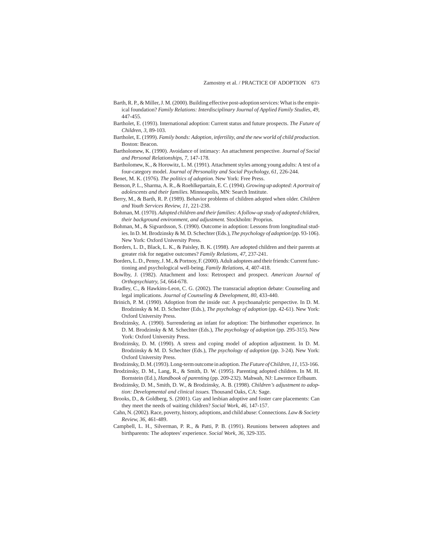- Barth, R. P., & Miller, J. M. (2000). Building effective post-adoption services: What is the empirical foundation? *Family Relations: Interdisciplinary Journal of Applied Family Studies*, *49*, 447-455.
- Bartholet, E. (1993). International adoption: Current status and future prospects. *The Future of Children*, *3*, 89-103.
- Bartholet, E. (1999). *Family bonds: Adoption, infertility, and the new world of child production*. Boston: Beacon.
- Bartholomew, K. (1990). Avoidance of intimacy: An attachment perspective*. Journal of Social and Personal Relationships*, *7*, 147-178.
- Bartholomew, K., & Horowitz, L. M. (1991). Attachment styles among young adults: A test of a four-category model. *Journal of Personality and Social Psychology*, *61*, 226-244.

Benet, M. K. (1976). *The politics of adoption*. New York: Free Press.

- Benson, P. L., Sharma, A. R., & Roehlkepartain, E. C. (1994). *Growing up adopted: A portrait of adolescents and their families*. Minneapolis, MN: Search Institute.
- Berry, M., & Barth, R. P. (1989). Behavior problems of children adopted when older. *Children and Youth Services Review*, *11*, 221-238.
- Bohman, M. (1970). *Adopted children and their families: A follow-up study of adopted children, their background environment, and adjustment*. Stockholm: Proprius.
- Bohman, M., & Sigvardsson, S. (1990). Outcome in adoption: Lessons from longitudinal studies. In D. M. Brodzinsky & M. D. Schechter (Eds.), *The psychology of adoption* (pp. 93-106). New York: Oxford University Press.
- Borders, L. D., Black, L. K., & Paisley, B. K. (1998). Are adopted children and their parents at greater risk for negative outcomes? *Family Relations*, *47*, 237-241.
- Borders, L. D., Penny, J. M., & Portnoy, F. (2000). Adult adoptees and their friends: Current functioning and psychological well-being. *Family Relations*, *4*, 407-418.
- Bowlby, J. (1982). Attachment and loss: Retrospect and prospect. *American Journal of Orthopsychiatry*, *54*, 664-678.
- Bradley, C., & Hawkins-Leon, C. G. (2002). The transracial adoption debate: Counseling and legal implications. *Journal of Counseling & Development*, *80*, 433-440.
- Brinich, P. M. (1990). Adoption from the inside out: A psychoanalytic perspective. In D. M. Brodzinsky & M. D. Schechter (Eds.), *The psychology of adoption* (pp. 42-61). New York: Oxford University Press.
- Brodzinsky, A. (1990). Surrendering an infant for adoption: The birthmother experience. In D. M. Brodzinsky & M. Schechter (Eds.), *The psychology of adoption* (pp. 295-315). New York: Oxford University Press.
- Brodzinsky, D. M. (1990). A stress and coping model of adoption adjustment. In D. M. Brodzinsky & M. D. Schechter (Eds.), *The psychology of adoption* (pp. 3-24). New York: Oxford University Press.
- Brodzinsky, D. M. (1993). Long-term outcome in adoption.*The Future of Children*, *11*, 153-166.
- Brodzinsky, D. M., Lang, R., & Smith, D. W. (1995). Parenting adopted children. In M. H. Bornstein (Ed.), *Handbook of parenting* (pp. 209-232). Mahwah, NJ: Lawrence Erlbaum.
- Brodzinsky, D. M., Smith, D. W., & Brodzinsky, A. B. (1998). *Children's adjustment to adoption: Developmental and clinical issues*. Thousand Oaks, CA: Sage.
- Brooks, D., & Goldberg, S. (2001). Gay and lesbian adoptive and foster care placements: Can they meet the needs of waiting children? *Social Work*, *46*, 147-157.
- Cahn, N. (2002). Race, poverty, history, adoptions, and child abuse: Connections. *Law & Society Review*, *36*, 461-489.
- Campbell, L. H., Silverman, P. R., & Patti, P. B. (1991). Reunions between adoptees and birthparents: The adoptees' experience. *Social Work*, *36*, 329-335.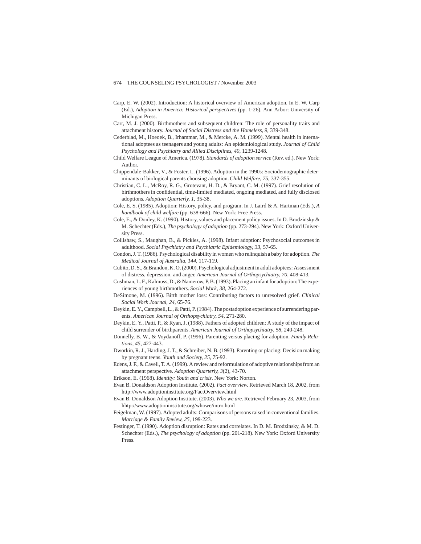- Carp, E. W. (2002). Introduction: A historical overview of American adoption. In E. W. Carp (Ed.), *Adoption in America: Historical perspectives* (pp. 1-26). Ann Arbor: University of Michigan Press.
- Carr, M. J. (2000). Birthmothers and subsequent children: The role of personality traits and attachment history. *Journal of Social Distress and the Homeless*, *9*, 339-348.
- Cederblad, M., Hoeoek, B., Irhammar, M., & Mercke, A. M. (1999). Mental health in international adoptees as teenagers and young adults: An epidemiological study. *Journal of Child Psychology and Psychiatry and Allied Disciplines*, *40*, 1239-1248.
- Child Welfare League of America. (1978). *Standards of adoption service* (Rev. ed.). New York: Author.
- Chippendale-Bakker, V., & Foster, L. (1996). Adoption in the 1990s: Sociodemographic determinants of biological parents choosing adoption.*Child Welfare*, *75*, 337-355.
- Christian, C. L., McRoy, R. G., Grotevant, H. D., & Bryant, C. M. (1997). Grief resolution of birthmothers in confidential, time-limited mediated, ongoing mediated, and fully disclosed adoptions. *Adoption Quarterly*, *1*, 35-38.
- Cole, E. S. (1985). Adoption: History, policy, and program. In J. Laird & A. Hartman (Eds.), *A handbook of child welfare* (pp. 638-666). New York: Free Press.
- Cole, E., & Donley, K. (1990). History, values and placement policy issues. In D. Brodzinsky & M. Schechter (Eds.), *The psychology of adoption* (pp. 273-294). New York: Oxford University Press.
- Collishaw, S., Maughan, B., & Pickles, A. (1998). Infant adoption: Psychosocial outcomes in adulthood. *Social Psychiatry and Psychiatric Epidemiology*, *33*, 57-65.
- Condon, J. T. (1986). Psychological disability in women who relinquish a baby for adoption. *The Medical Journal of Australia*, *144*, 117-119.
- Cubito, D. S., & Brandon, K. O. (2000). Psychological adjustment in adult adoptees: Assessment of distress, depression, and anger. *American Journal of Orthopsychiatry*, *70*, 408-413.
- Cushman, L. F., Kalmuss, D., & Namerow, P. B. (1993). Placing an infant for adoption: The experiences of young birthmothers. *Social Work*, *38*, 264-272.
- DeSimone, M. (1996). Birth mother loss: Contributing factors to unresolved grief. *Clinical Social Work Journal*, *24*, 65-76.
- Deykin, E. Y., Campbell, L., & Patti, P. (1984). The postadoption experience of surrendering parents. *American Journal of Orthopsychiatry*, *54*, 271-280.
- Deykin, E. Y., Patti, P., & Ryan, J. (1988). Fathers of adopted children: A study of the impact of child surrender of birthparents. *American Journal of Orthopsychiatry*, *58*, 240-248.
- Donnelly, B. W., & Voydanoff, P. (1996). Parenting versus placing for adoption. *Family Relations*, *45*, 427-443.
- Dworkin, R. J., Harding, J. T., & Schreiber, N. B. (1993). Parenting or placing: Decision making by pregnant teens. *Youth and Society*, *25*, 75-92.
- Edens, J. F., & Cavell, T. A. (1999). A review and reformulation of adoptive relationships from an attachment perspective. *Adoption Quarterly*, *3*(2), 43-70.
- Erikson, E. (1968). *Identity: Youth and crisis*. New York: Norton.
- Evan B. Donaldson Adoption Institute. (2002). *Fact overview*. Retrieved March 18, 2002, from http://www.adoptioninstitute.org/FactOverview.html
- Evan B. Donaldson Adoption Institute. (2003). *Who we are*. Retrieved February 23, 2003, from hhtp://www.adoptioninstitute.org/whowe/intro.html
- Feigelman, W. (1997). Adopted adults: Comparisons of persons raised in conventional families. *Marriage & Family Review*, *25*, 199-223.
- Festinger, T. (1990). Adoption disruption: Rates and correlates. In D. M. Brodzinsky, & M. D. Schechter (Eds.), *The psychology of adoption* (pp. 201-218). New York: Oxford University Press.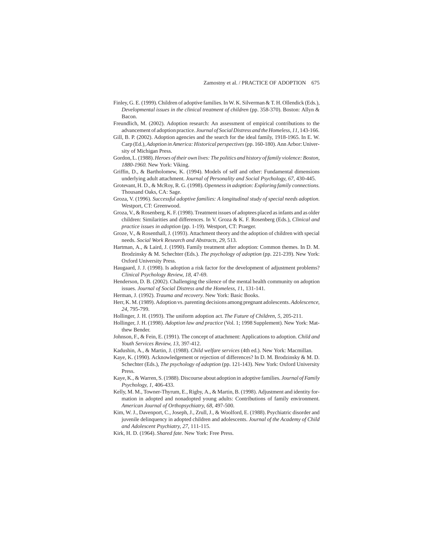- Finley, G. E. (1999). Children of adoptive families. In W. K. Silverman & T. H. Ollendick (Eds.), *Developmental issues in the clinical treatment of children* (pp. 358-370). Boston: Allyn & Bacon.
- Freundlich, M. (2002). Adoption research: An assessment of empirical contributions to the advancement of adoption practice. *Journal of Social Distress and the Homeless*, *11*, 143-166.
- Gill, B. P. (2002). Adoption agencies and the search for the ideal family, 1918-1965. In E. W. Carp (Ed.),*Adoption in America: Historical perspectives*(pp. 160-180). Ann Arbor: University of Michigan Press.
- Gordon, L. (1988). *Heroes of their own lives: The politics and history of family violence: Boston, 1880-1960*. New York: Viking.
- Griffin, D., & Bartholomew, K. (1994). Models of self and other: Fundamental dimensions underlying adult attachment. *Journal of Personality and Social Psychology*, *67*, 430-445.
- Grotevant, H. D., & McRoy, R. G. (1998). *Openness in adoption: Exploring family connections*. Thousand Oaks, CA: Sage.
- Groza, V. (1996). *Successful adoptive families: A longitudinal study of special needs adoption*. Westport, CT: Greenwood.
- Groza, V., & Rosenberg, K. F. (1998). Treatment issues of adoptees placed as infants and as older children: Similarities and differences. In V. Groza & K. F. Rosenberg (Eds.), *Clinical and practice issues in adoption* (pp. 1-19). Westport, CT: Praeger.
- Groze, V., & Rosenthall, J. (1993). Attachment theory and the adoption of children with special needs. *Social Work Research and Abstracts*, *29*, 513.
- Hartman, A., & Laird, J. (1990). Family treatment after adoption: Common themes. In D. M. Brodzinsky & M. Schechter (Eds.). *The psychology of adoption* (pp. 221-239). New York: Oxford University Press.
- Haugaard, J. J. (1998). Is adoption a risk factor for the development of adjustment problems? *Clinical Psychology Review*, *18*, 47-69.
- Henderson, D. B. (2002). Challenging the silence of the mental health community on adoption issues. *Journal of Social Distress and the Homeless*, *1*1, 131-141.
- Herman, J. (1992). *Trauma and recovery*. New York: Basic Books.
- Herr, K. M. (1989). Adoption vs. parenting decisions among pregnant adolescents. *Adolescence*, *24*, 795-799.
- Hollinger, J. H. (1993). The uniform adoption act. *The Future of Children*, *5*, 205-211.
- Hollinger, J. H. (1998). *Adoption law and practice* (Vol. 1; 1998 Supplement). New York: Matthew Bender.
- Johnson, F., & Fein, E. (1991). The concept of attachment: Applications to adoption. *Child and Youth Services Review*, *13*, 397-412.
- Kadushin, A., & Martin, J. (1988). *Child welfare services* (4th ed.). New York: Macmillan.
- Kaye, K. (1990). Acknowledgement or rejection of differences? In D. M. Brodzinsky & M. D. Schechter (Eds.), *The psychology of adoption* (pp. 121-143). New York: Oxford University Press.
- Kaye, K., & Warren, S. (1988). Discourse about adoption in adoptive families. *Journal of Family Psychology*, *1*, 406-433.
- Kelly, M. M., Towner-Thyrum, E., Rigby, A., & Martin, B. (1998). Adjustment and identity formation in adopted and nonadopted young adults: Contributions of family environment. *American Journal of Orthopsychiatry*, *68*, 497-500.
- Kim, W. J., Davenport, C., Joseph, J., Zrull, J., & Woolford, E. (1988). Psychiatric disorder and juvenile delinquency in adopted children and adolescents. *Journal of the Academy of Child and Adolescent Psychiatry*, *27*, 111-115.
- Kirk, H. D. (1964). *Shared fate*. New York: Free Press.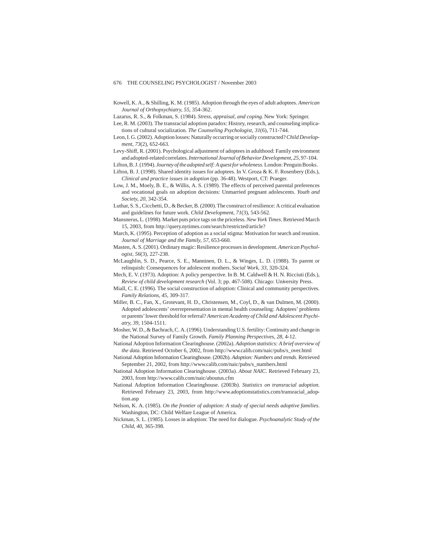Kowell, K. A., & Shilling, K. M. (1985). Adoption through the eyes of adult adoptees. *American Journal of Orthopsychiatry*, *55*, 354-362.

Lazarus, R. S., & Folkman, S. (1984). *Stress, appraisal, and coping*. New York: Springer.

- Lee, R. M. (2003). The transracial adoption paradox: History, research, and counseling implications of cultural socialization. *The Counseling Psychologist, 31*(6), 711-744.
- Leon, I. G. (2002). Adoption losses: Naturally occurring or socially constructed?*Child Development*, *73*(2), 652-663.

Levy-Shiff, R. (2001). Psychological adjustment of adoptees in adulthood: Family environment and adopted-related correlates. *International Journal of Behavior Development*, 25, 97-104.

- Lifton, B. J. (1994). *Journey of the adopted self: A quest for wholeness*. London: Penguin Books. Lifton, B. J. (1998). Shared identity issues for adoptees. In V. Groza & K. F. Rosenbery (Eds.),
- *Clinical and practice issues in adoption* (pp. 36-48). Westport, CT: Praeger. Low, J. M., Moely, B. E., & Willis, A. S. (1989). The effects of perceived parental preferences
- and vocational goals on adoption decisions: Unmarried pregnant adolescents. *Youth and Society*, *20*, 342-354.
- Luthar, S. S., Cicchetti, D., & Becker, B. (2000). The construct of resilience: A critical evaluation and guidelines for future work. *Child Development*, *71*(3), 543-562.
- Mansnerus, L. (1998). Market puts price tags on the priceless. *New York Times*. Retrieved March 15, 2003, from http://query.nytimes.com/search/restricted/article?
- March, K. (1995). Perception of adoption as a social stigma: Motivation for search and reunion. *Journal of Marriage and the Family*, *57*, 653-660.
- Masten, A. S. (2001). Ordinary magic: Resilience processes in development.*American Psychologist*, *56*(3), 227-238.
- McLaughlin, S. D., Pearce, S. E., Manninen, D. L., & Winges, L. D. (1988). To parent or relinquish: Consequences for adolescent mothers. *Social Work*, *33*, 320-324.
- Mech, E. V. (1973). Adoption: A policy perspective. In B. M. Caldwell & H. N. Ricciuti (Eds.), *Review of child development research* (Vol. 3; pp. 467-508). Chicago: University Press.
- Miall, C. E. (1996). The social construction of adoption: Clinical and community perspectives. *Family Relations*, *45*, 309-317.
- Miller, B. C., Fan, X., Grotevant, H. D., Christensen, M., Coyl, D., & van Dulmen, M. (2000). Adopted adolescents' overrepresentation in mental health counseling: Adoptees' problems or parents'lower threshold for referral? *American Academy of Child and Adolescent Psychiatry*, *39*, 1504-1511.
- Mosher, W. D., & Bachrach, C. A. (1996). Understanding U.S. fertility: Continuity and change in the National Survey of Family Growth. *Family Planning Perspectives*, *28*, 4-12.
- National Adoption Information Clearinghouse. (2002a). *Adoption statistics: A brief overview of the data*. Retrieved October 6, 2002, from http://www.calib.com/naic/pubs/s\_over.html
- National Adoption Information Clearinghouse. (2002b). *Adoption: Numbers and trends*. Retrieved September 21, 2002, from http://www.calib.com/naic/pubs/s\_numbers.html
- National Adoption Information Clearinghouse. (2003a). *About NAIC*. Retrieved February 23, 2003, from http://www.calib.com/naic/aboutus.cfm
- National Adoption Information Clearinghouse. (2003b). *Statistics on transracial adoption*. Retrieved February 23, 2003, from http://www.adoptionstatistics.com/transracial\_adoption.asp
- Nelson, K. A. (1985). *On the frontier of adoption: A study of special needs adoptive families*. Washington, DC: Child Welfare League of America.
- Nickman, S. L. (1985). Losses in adoption: The need for dialogue. *Psychoanalytic Study of the Child*, *40*, 365-398.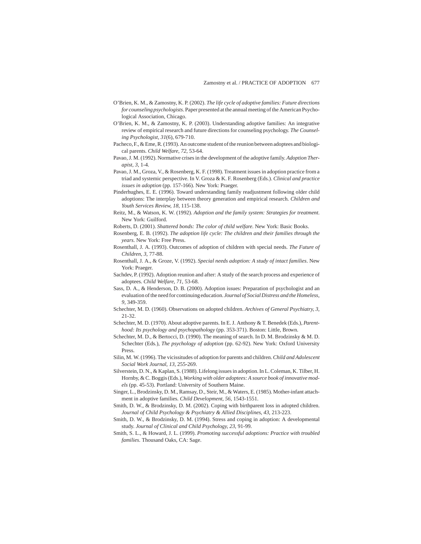- O'Brien, K. M., & Zamostny, K. P. (2002). *The life cycle of adoptive families: Future directions for counseling psychologists*. Paper presented at the annual meeting of the American Psychological Association, Chicago.
- O'Brien, K. M., & Zamostny, K. P. (2003). Understanding adoptive families: An integrative review of empirical research and future directions for counseling psychology. *The Counseling Psychologist, 31*(6), 679-710.
- Pacheco, F., & Eme, R. (1993). An outcome student of the reunion between adoptees and biological parents. *Child Welfare*, *72*, 53-64.
- Pavao, J. M. (1992). Normative crises in the development of the adoptive family. *Adoption Therapist*, *3*, 1-4.
- Pavao, J. M., Groza, V., & Rosenberg, K. F. (1998). Treatment issues in adoption practice from a triad and systemic perspective. In V. Groza & K. F. Rosenberg (Eds.). *Clinical and practice issues in adoption* (pp. 157-166). New York: Praeger.
- Pinderhughes, E. E. (1996). Toward understanding family readjustment following older child adoptions: The interplay between theory generation and empirical research. *Children and Youth Services Review*, *18*, 115-138.
- Reitz, M., & Watson, K. W. (1992). *Adoption and the family system: Strategies for treatment*. New York: Guilford.
- Roberts, D. (2001). *Shattered bonds: The color of child welfare*. New York: Basic Books.
- Rosenberg, E. B. (1992). *The adoption life cycle: The children and their families through the years*. New York: Free Press.
- Rosenthall, J. A. (1993). Outcomes of adoption of children with special needs. *The Future of Children*, *3*, 77-88.
- Rosenthall, J. A., & Groze, V. (1992). *Special needs adoption: A study of intact families*. New York: Praeger.
- Sachdev, P. (1992). Adoption reunion and after: A study of the search process and experience of adoptees. *Child Welfare*, *71*, 53-68.
- Sass, D. A., & Henderson, D. B. (2000). Adoption issues: Preparation of psychologist and an evaluation of the need for continuing education. *Journal of Social Distress and the Homeless*, *9*, 349-359.
- Schechter, M. D. (1960). Observations on adopted children. *Archives of General Psychiatry*, *3*, 21-32.
- Schechter, M. D. (1970). About adoptive parents. In E. J. Anthony & T. Benedek (Eds.), *Parenthood: Its psychology and psychopathology* (pp. 353-371). Boston: Little, Brown.
- Schechter, M. D., & Bertocci, D. (1990). The meaning of search. In D. M. Brodzinsky & M. D. Schechter (Eds.), *The psychology of adoption* (pp. 62-92). New York: Oxford University Press.
- Silin, M. W. (1996). The vicissitudes of adoption for parents and children. *Child and Adolescent Social Work Journal*, *13*, 255-269.
- Silverstein, D. N., & Kaplan, S. (1988). Lifelong issues in adoption. In L. Coleman, K. Tilber, H. Hornby, & C. Boggis (Eds.), *Working with older adoptees: A source book of innovative models* (pp. 45-53). Portland: University of Southern Maine.
- Singer, L., Brodzinsky, D. M., Ramsay, D., Steir, M., & Waters, E. (1985). Mother-infant attachment in adoptive families. *Child Development*, *56*, 1543-1551.
- Smith, D. W., & Brodzinsky, D. M. (2002). Coping with birthparent loss in adopted children. *Journal of Child Psychology & Psychiatry & Allied Disciplines*, *43*, 213-223.
- Smith, D. W., & Brodzinsky, D. M. (1994). Stress and coping in adoption: A developmental study. *Journal of Clinical and Child Psychology*, *23*, 91-99.
- Smith, S. L., & Howard, J. L. (1999). *Promoting successful adoptions: Practice with troubled families*. Thousand Oaks, CA: Sage.